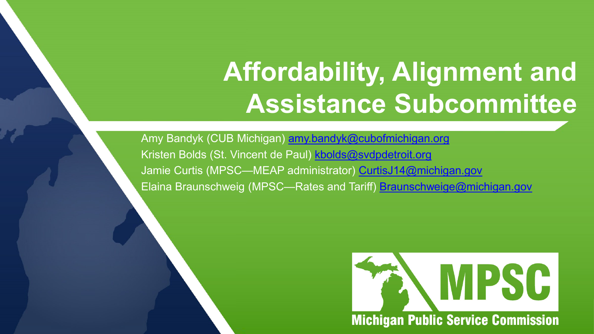# **Affordability, Alignment and Assistance Subcommittee**

Amy Bandyk (CUB Michigan) [amy.bandyk@cubofmichigan.org](mailto:amy.bandyk@cubofmichigan.org) Kristen Bolds (St. Vincent de Paul) [kbolds@svdpdetroit.org](mailto:kbolds@svdpdetroit.org) Jamie Curtis (MPSC—MEAP administrator) [CurtisJ14@michigan.gov](mailto:CurtisJ14@michigan.gov) Elaina Braunschweig (MPSC—Rates and Tariff) [Braunschweige@michigan.gov](mailto:Braunschweige@michigan.gov)

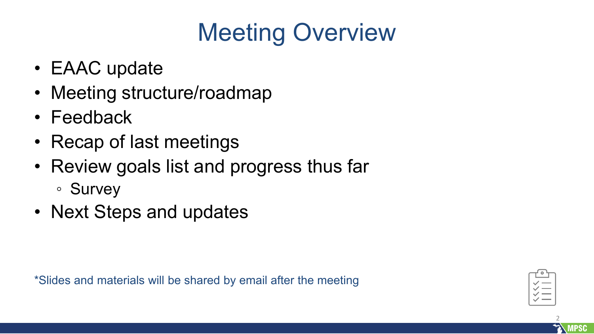# Meeting Overview

- EAAC update
- Meeting structure/roadmap
- Feedback
- Recap of last meetings
- Review goals list and progress thus far
	- Survey
- Next Steps and updates

\*Slides and materials will be shared by email after the meeting



2

**MPSC**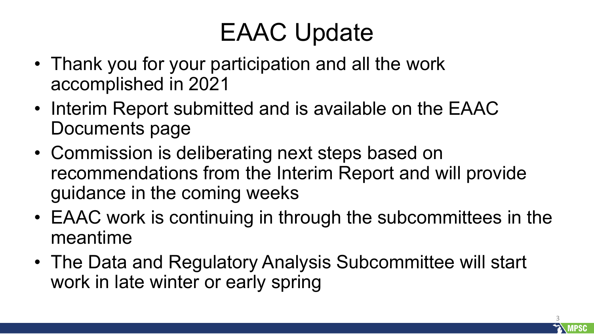# EAAC Update

- Thank you for your participation and all the work accomplished in 2021
- Interim Report submitted and is available on the EAAC Documents page
- Commission is deliberating next steps based on recommendations from the Interim Report and will provide guidance in the coming weeks
- EAAC work is continuing in through the subcommittees in the meantime
- The Data and Regulatory Analysis Subcommittee will start work in late winter or early spring

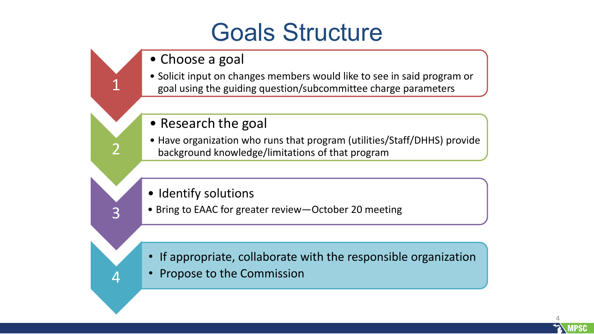### Goals Structure

• Choose a goal

1

2

3

4

- Solicit input on changes members would like to see in said program or goal using the guiding question/subcommittee charge parameters
- Research the goal
- Have organization who runs that program (utilities/Staff/DHHS) provide background knowledge/limitations of that program
- Identify solutions
- Bring to EAAC for greater review—October 20 meeting

- If appropriate, collaborate with the responsible organization
- Propose to the Commission

4 **MPSC**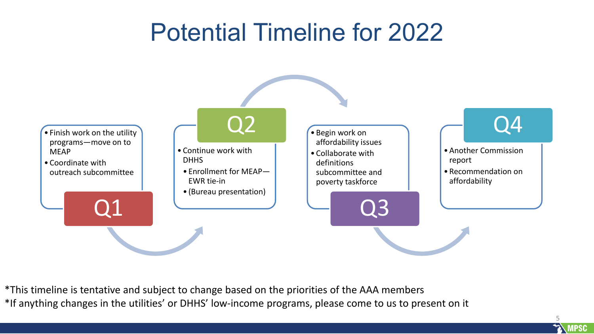## Potential Timeline for 2022



\*This timeline is tentative and subject to change based on the priorities of the AAA members \*If anything changes in the utilities' or DHHS' low-income programs, please come to us to present on it

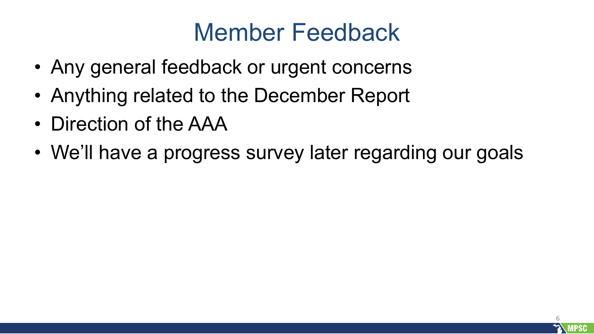### Member Feedback

- Any general feedback or urgent concerns
- Anything related to the December Report
- Direction of the AAA
- We'll have a progress survey later regarding our goals

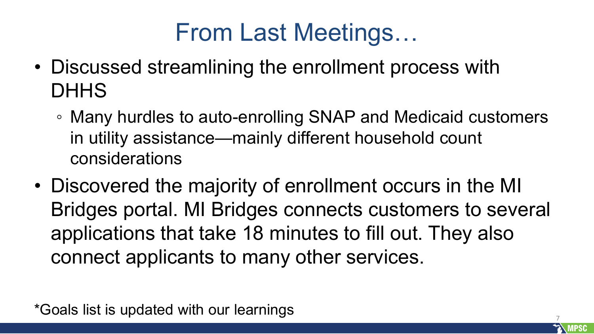## From Last Meetings…

- Discussed streamlining the enrollment process with **DHHS** 
	- Many hurdles to auto-enrolling SNAP and Medicaid customers in utility assistance—mainly different household count considerations
- Discovered the majority of enrollment occurs in the MI Bridges portal. MI Bridges connects customers to several applications that take 18 minutes to fill out. They also connect applicants to many other services.

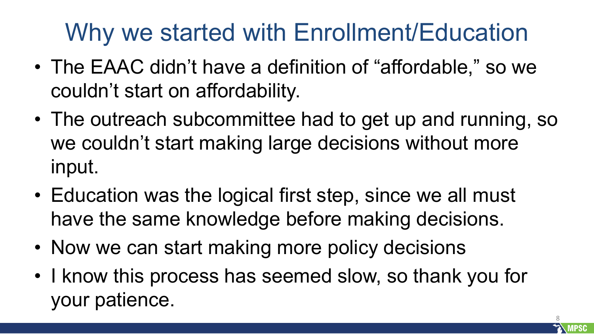# Why we started with Enrollment/Education

- The EAAC didn't have a definition of "affordable," so we couldn't start on affordability.
- The outreach subcommittee had to get up and running, so we couldn't start making large decisions without more input.
- Education was the logical first step, since we all must have the same knowledge before making decisions.
- Now we can start making more policy decisions
- I know this process has seemed slow, so thank you for your patience.

8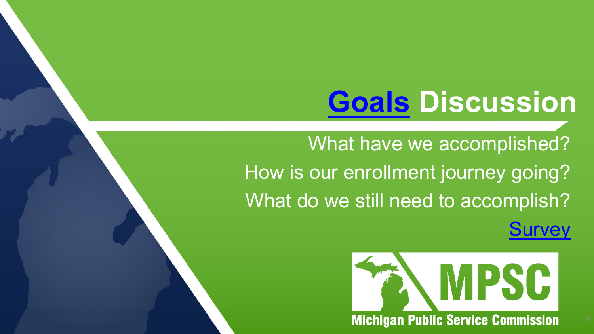# **[Goals](https://docs.google.com/document/d/1dyckDFZaSVF0l5Ma37hmWtaZD7iKUS-g/edit) Discussion**

What have we accomplished? How is our enrollment journey going? What do we still need to accomplish?

<u>[Survey](https://www.research.net/r/CJJZSW5)</u>

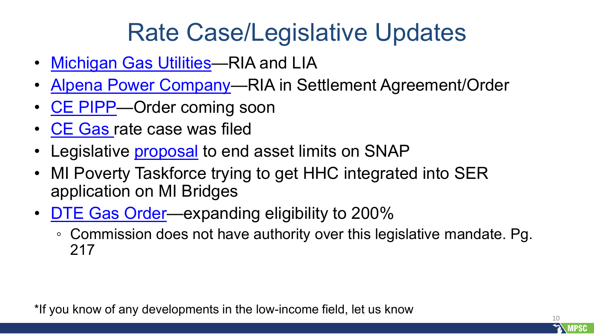# Rate Case/Legislative Updates

- [Michigan Gas Utilities—](https://mi-psc.force.com/s/case/500t000000Rfx7ZAAR/in-the-matter-of-the-application-of-michigan-gas-utilities-corporation-for-authority-to-increase-natural-gas-rates-and-for-other-relief)RIA and LIA
- [Alpena Power Company](https://mi-psc.force.com/s/case/500t000000k1RwYAAU/in-the-matter-of-the-application-of-alpena-power-company-for-authority-to-incur-its-rates-for-the-sale-of-electricity)—RIA in Settlement Agreement/Order
- [CE PIPP—](https://mi-psc.force.com/s/case/500t000000hrDOOAA2/in-the-matter-of-the-application-of-consumers-energy-company-for-approval-of-a-percent-of-income-payment-plan-pilot)Order coming soon
- **[CE Gas](https://mi-psc.force.com/s/case/500t000000sCoh3AAC/in-the-matter-of-the-application-of-consumers-energy-company-for-authority-to-increase-its-rates-for-the-distribution-of-natural-gas-and-for-other-relief) rate case was filed**
- Legislative **proposal** to end asset limits on SNAP
- MI Poverty Taskforce trying to get HHC integrated into SER application on MI Bridges
- [DTE Gas Order—](https://mi-psc.force.com/s/case/500t000000dR1s4AAC/in-the-matter-of-the-application-of-dte-gas-company-for-authority-to-increase-its-rates-amend-its-rate-schedules-and-rules-governing-the-distribution-and-supply-of-natural-gas-and-for-miscellaneous-accounting-authority)expanding eligibility to 200%
	- Commission does not have authority over this legislative mandate. Pg. 217

\*If you know of any developments in the low-income field, let us know